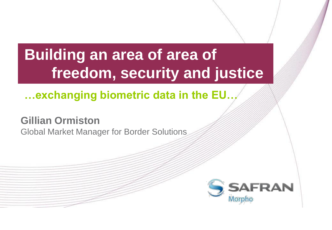# **Building an area of area of freedom, security and justice**

## **…exchanging biometric data in the EU…**

## **Gillian Ormiston**

Global Market Manager for Border Solutions

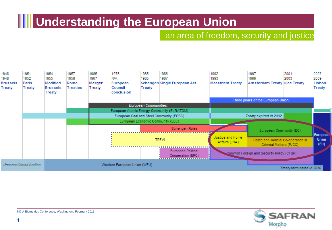## **THE Understanding the European Union**

#### an area of freedom, security and justice



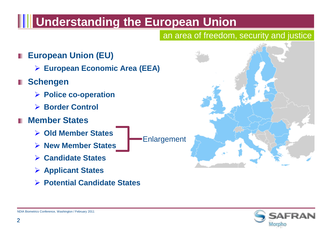## **THE Understanding the European Union**

### an area of freedom, security and justice

- **European Union (EU)**
	- **European Economic Area (EEA)**
- **Schengen**
	- **Police co-operation**
	- **Border Control**
- **Member States**
	- **Old Member States**
	- **New Member States**
	- **Candidate States**
	- **Applicant States**
	- **Potential Candidate States**



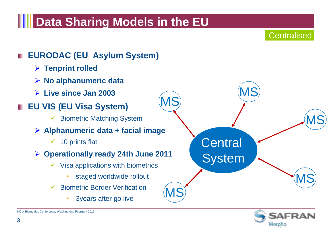## **Data Sharing Models in the EU**

**Centralised** 

#### **EURODAC (EU Asylum System) Tenprint rolled No alphanumeric data Live since Jan 2003 EU VIS (EU Visa System)**  $\checkmark$  Biometric Matching System **Alphanumeric data + facial image**  $\checkmark$  10 prints flat **Operationally ready 24th June 2011**  $\checkmark$  Visa applications with biometrics staged worldwide rollout  $\checkmark$  Biometric Border Verification • 3years after go live MS MS MS **Central System**

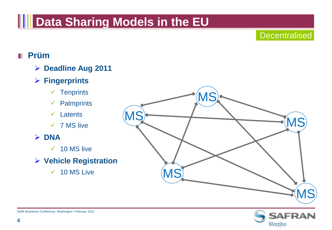## **Notal Sharing Models in the EU**

#### **Decentralised**

### **Prüm**

- **Deadline Aug 2011**
- **Fingerprints**
	- $\checkmark$  Tenprints
	- $\checkmark$  Palmprints
	- $\checkmark$  Latents
	- $\times$  7 MS live

### **DNA**

- $\checkmark$  10 MS live
- **Vehicle Registration**
	- $\checkmark$  10 MS Live



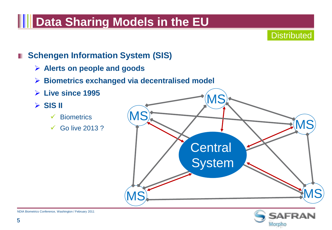## **Notal Sharing Models in the EU**

**Distributed** 

### **F** Schengen Information System (SIS)

- **Alerts on people and goods**
- **Biometrics exchanged via decentralised model**
- **Live since 1995**
- $>$  SIS II
	- $\checkmark$  Biometrics
	- $\checkmark$  Go live 2013?



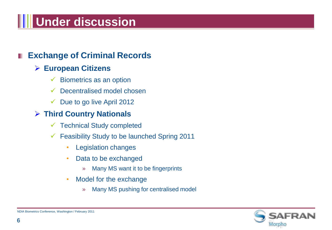# **Will Under discussion**

### **Exchange of Criminal Records**

#### **European Citizens**

- $\checkmark$  Biometrics as an option
- $\checkmark$  Decentralised model chosen
- $\checkmark$  Due to go live April 2012

#### **Third Country Nationals**

- $\checkmark$  Technical Study completed
- $\checkmark$  Feasibility Study to be launched Spring 2011
	- Legislation changes
	- Data to be exchanged
		- » Many MS want it to be fingerprints
	- Model for the exchange
		- » Many MS pushing for centralised model

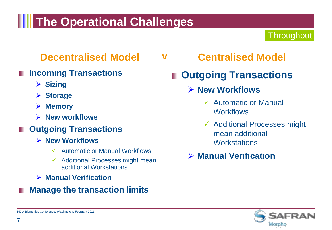## **THE Operational Challenges**

### **Throughput**

### **Decentralised Model**

- **Incoming Transactions**
	- **Sizing**
	- **Storage**
	- **Memory**
	- **New workflows**

### **Outgoing Transactions**

- **New Workflows**
	- $\checkmark$  Automatic or Manual Workflows
	- $\checkmark$  Additional Processes might mean additional Workstations
- **Manual Verification**
- **Manage the transaction limits**

**Centralised Model v**

## **Outgoing Transactions**

### **New Workflows**

- Automatic or Manual **Workflows**
- $\checkmark$  Additional Processes might mean additional **Workstations**
- **Manual Verification**

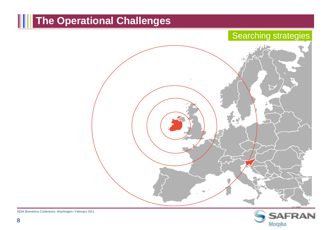## **The Operational Challenges**

### Searching strategies



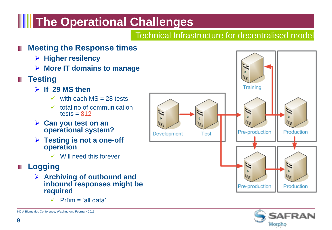## **THE Operational Challenges**

#### Technical Infrastructure for decentralised model

#### **Meeting the Response times**

- **Higher resilency**
- **More IT domains to manage**
- **Testing** 
	- **If 29 MS then**
		- $\checkmark$  with each MS = 28 tests
		- $\checkmark$  total no of communication tests  $= 812$
	- **Can you test on an operational system?**
	- **Testing is not a one-off operation**
		- $\checkmark$  Will need this forever
- **Logging**
	- **Archiving of outbound and inbound responses might be required**
		- $\checkmark$  Prüm = 'all data'



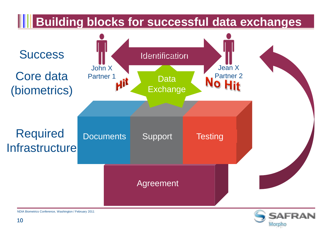

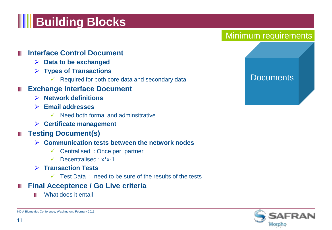# **HI Building Blocks**

**Interface Control Document**

- **Data to be exchanged**
- **Types of Transactions**
	- $\checkmark$  Required for both core data and secondary data
- **Exchange Interface Document** 
	- **Network definitions**
	- **Email addresses**
		- $\checkmark$  Need both formal and adminsitrative
	- **Certificate management**

#### **Testing Document(s)**

#### **Communication tests between the network nodes**

- $\checkmark$  Centralised : Once per partner
- $\checkmark$  Decentralised :  $x^*x-1$
- **Transaction Tests**
	- $\checkmark$  Test Data: need to be sure of the results of the tests
- **Final Acceptence / Go Live criteria** ш
	- What does it entail ш

Minimum requirements

#### **Documents**

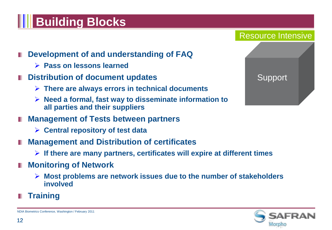# **HI Building Blocks**



- **Pass on lessons learned**
- **E** Distribution of document updates
	- **There are always errors in technical documents**
	- **Need a formal, fast way to disseminate information to all parties and their suppliers**
- **Management of Tests between partners**
	- **Central repository of test data**
- **Management and Distribution of certificates**
	- **If there are many partners, certificates will expire at different times**
- **Monitoring of Network**
	- **Most problems are network issues due to the number of stakeholders involved**
- **Training**



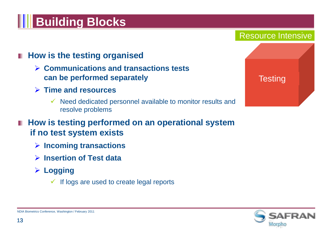# **H** Building Blocks

### **How is the testing organised**

- **Communications and transactions tests can be performed separately**
- **Time and resources**
	- $\checkmark$  Need dedicated personnel available to monitor results and resolve problems
- **How is testing performed on an operational system if no test system exists** 
	- **Incoming transactions**
	- **Insertion of Test data**
	- **Logging**
		- $\checkmark$  If logs are used to create legal reports



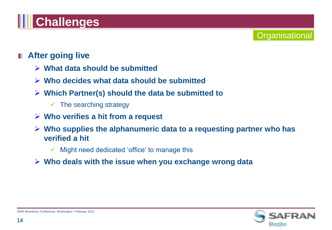# **TH** Challenges

### **After going live**

- **What data should be submitted**
- **Who decides what data should be submitted**
- **Which Partner(s) should the data be submitted to**
	- $\checkmark$  The searching strategy
- **Who verifies a hit from a request**
- **Who supplies the alphanumeric data to a requesting partner who has verified a hit**
	- $\checkmark$  Might need dedicated 'office' to manage this
- **Who deals with the issue when you exchange wrong data**



**Organisational**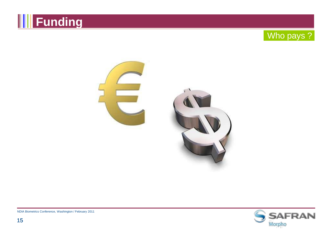





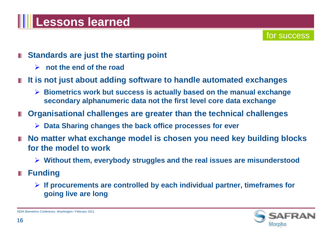## **Lessons learned**

#### for success

- **Standards are just the starting point** 
	- **not the end of the road**
- **It is not just about adding software to handle automated exchanges**
	- **Biometrics work but success is actually based on the manual exchange secondary alphanumeric data not the first level core data exchange**
- **Organisational challenges are greater than the technical challenges**
	- **Data Sharing changes the back office processes for ever**
- No matter what exchange model is chosen you need key building blocks **for the model to work**
	- **Without them, everybody struggles and the real issues are misunderstood**
- **Funding**
	- **If procurements are controlled by each individual partner, timeframes for going live are long**